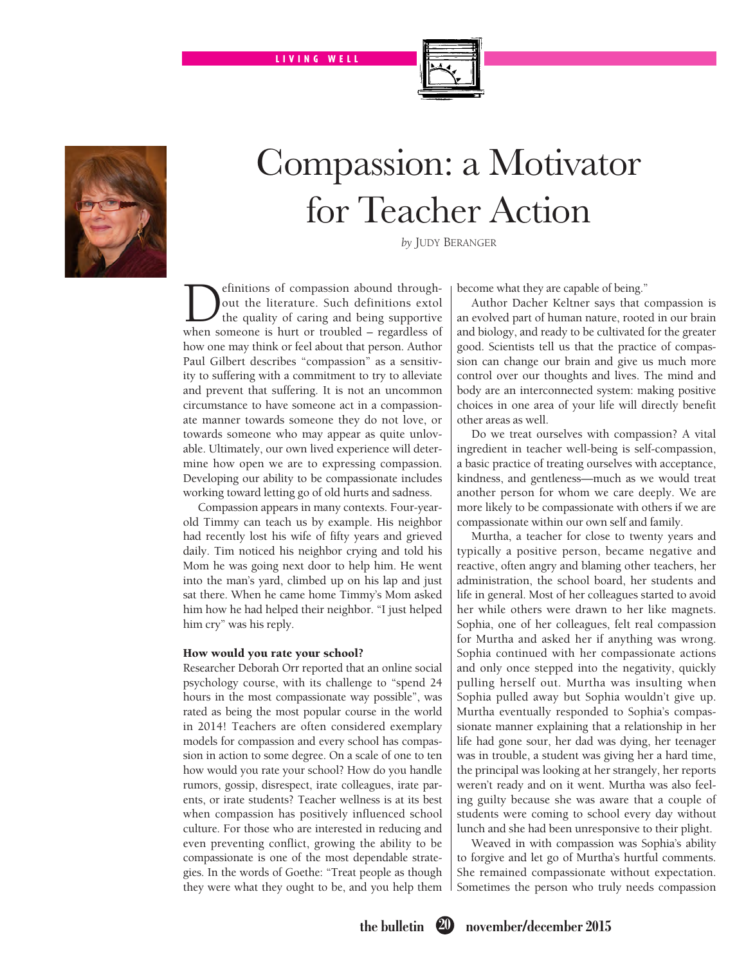LIVING WELL



## Compassion: a Motivator for Teacher Action

*by* Judy Beranger

**D**efinitions of compassion abound through-<br>out the literature. Such definitions extol<br>the quality of caring and being supportive<br>when someone is burt or troubled – regardless of out the literature. Such definitions extol the quality of caring and being supportive when someone is hurt or troubled – regardless of how one may think or feel about that person. Author Paul Gilbert describes "compassion" as a sensitivity to suffering with a commitment to try to alleviate and prevent that suffering. It is not an uncommon circumstance to have someone act in a compassionate manner towards someone they do not love, or towards someone who may appear as quite unlovable. Ultimately, our own lived experience will determine how open we are to expressing compassion. Developing our ability to be compassionate includes working toward letting go of old hurts and sadness.

Compassion appears in many contexts. Four-yearold Timmy can teach us by example. His neighbor had recently lost his wife of fifty years and grieved daily. Tim noticed his neighbor crying and told his Mom he was going next door to help him. He went into the man's yard, climbed up on his lap and just sat there. When he came home Timmy's Mom asked him how he had helped their neighbor. "I just helped him cry" was his reply.

## How would you rate your school?

Researcher Deborah Orr reported that an online social psychology course, with its challenge to "spend 24 hours in the most compassionate way possible", was rated as being the most popular course in the world in 2014! Teachers are often considered exemplary models for compassion and every school has compassion in action to some degree. On a scale of one to ten how would you rate your school? How do you handle rumors, gossip, disrespect, irate colleagues, irate parents, or irate students? Teacher wellness is at its best when compassion has positively influenced school culture. For those who are interested in reducing and even preventing conflict, growing the ability to be compassionate is one of the most dependable strategies. In the words of Goethe: "Treat people as though they were what they ought to be, and you help them become what they are capable of being."

Author Dacher Keltner says that compassion is an evolved part of human nature, rooted in our brain and biology, and ready to be cultivated for the greater good. Scientists tell us that the practice of compassion can change our brain and give us much more control over our thoughts and lives. The mind and body are an interconnected system: making positive choices in one area of your life will directly benefit other areas as well.

Do we treat ourselves with compassion? A vital ingredient in teacher well-being is self-compassion, a basic practice of treating ourselves with acceptance, kindness, and gentleness—much as we would treat another person for whom we care deeply. We are more likely to be compassionate with others if we are compassionate within our own self and family.

Murtha, a teacher for close to twenty years and typically a positive person, became negative and reactive, often angry and blaming other teachers, her administration, the school board, her students and life in general. Most of her colleagues started to avoid her while others were drawn to her like magnets. Sophia, one of her colleagues, felt real compassion for Murtha and asked her if anything was wrong. Sophia continued with her compassionate actions and only once stepped into the negativity, quickly pulling herself out. Murtha was insulting when Sophia pulled away but Sophia wouldn't give up. Murtha eventually responded to Sophia's compassionate manner explaining that a relationship in her life had gone sour, her dad was dying, her teenager was in trouble, a student was giving her a hard time, the principal was looking at her strangely, her reports weren't ready and on it went. Murtha was also feeling guilty because she was aware that a couple of students were coming to school every day without lunch and she had been unresponsive to their plight.

Weaved in with compassion was Sophia's ability to forgive and let go of Murtha's hurtful comments. She remained compassionate without expectation. Sometimes the person who truly needs compassion